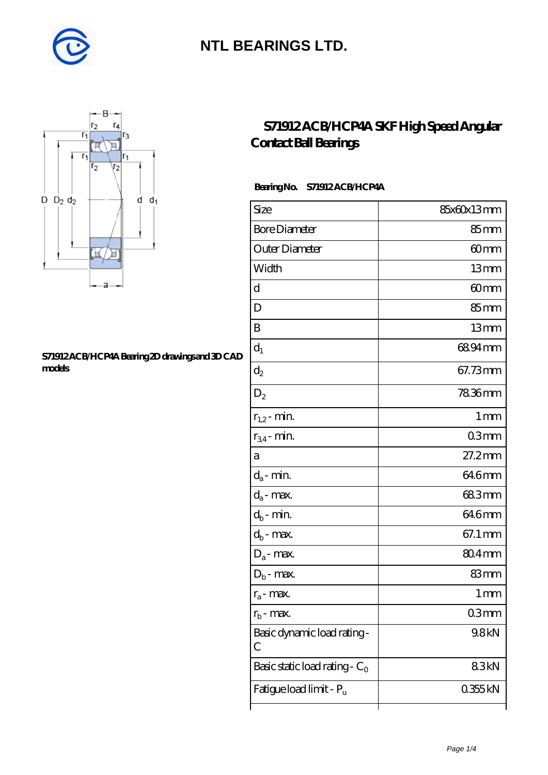



#### **[S71912 ACB/HCP4A Bearing 2D drawings and 3D CAD](https://m.diabetesfriends.net/pic-590690.html) [models](https://m.diabetesfriends.net/pic-590690.html)**

### **[S71912 ACB/HCP4A SKF High Speed Angular](https://m.diabetesfriends.net/skf-bearing/s71912-acb-hcp4a.html) [Contact Ball Bearings](https://m.diabetesfriends.net/skf-bearing/s71912-acb-hcp4a.html)**

#### **Bearing No. S71912 ACB/HCP4A**

| Size                             | 85x60x13mm     |
|----------------------------------|----------------|
| <b>Bore Diameter</b>             | $85 \text{mm}$ |
| Outer Diameter                   | 60mm           |
| Width                            | 13mm           |
| d                                | 60mm           |
| D                                | 85mm           |
| B                                | 13mm           |
| $\mathrm{d}_{1}$                 | 6894mm         |
| $\mathrm{d}_2$                   | 67.73mm        |
| $D_2$                            | 7836mm         |
| $r_{1,2}$ - min.                 | 1 mm           |
| $r_{34}$ - min.                  | 03mm           |
| а                                | $27.2$ mm      |
| $d_a$ - min.                     | 64.6mm         |
| $d_a$ - max.                     | 683mm          |
| $d_b$ - min.                     | 646mm          |
| $d_b$ - $\max$                   | 67.1 mm        |
| $D_a$ - max.                     | $804$ mm       |
| $D_b$ - max.                     | 83mm           |
| $r_a$ - max.                     | 1 mm           |
| $r_{\rm h}$ - max.               | 03mm           |
| Basic dynamic load rating-<br>С  | 9.8kN          |
| Basic static load rating - $C_0$ | 83kN           |
| Fatigue load limit - Pu          | 0355kN         |
|                                  |                |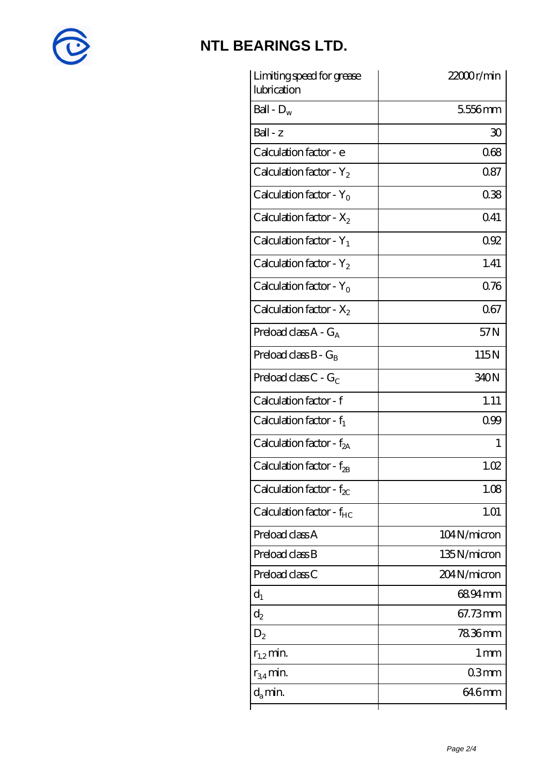

| Limiting speed for grease<br>lubrication | 22000r/min      |
|------------------------------------------|-----------------|
| Ball - $D_w$                             | 5556mm          |
| $Ball - z$                               | 30              |
| Calculation factor - e                   | 068             |
| Calculation factor - $Y_2$               | 087             |
| Calculation factor - $Y_0$               | 038             |
| Calculation factor - $X_2$               | 041             |
| Calculation factor - $Y_1$               | 092             |
| Calculation factor - $Y_2$               | 1.41            |
| Calculation factor - $Y_0$               | 076             |
| Calculation factor - $X_2$               | 067             |
| Preload class $A - G_A$                  | 57N             |
| Preload class $B - G_B$                  | 115N            |
| Preload class $C$ - $G_C$                | 340N            |
| Calculation factor - f                   | 1.11            |
| Calculation factor - $f_1$               | 099             |
| Calculation factor - $f_{2A}$            | 1               |
| Calculation factor - f <sub>2B</sub>     | 1.02            |
| Calculation factor - $f_{\chi}$          | 1.08            |
| Calculation factor - $f_{HC}$            | 1.01            |
| Preload class A                          | 104N/micron     |
| Preload class B                          | 135N/micron     |
| Preload class C                          | 204N/micron     |
| $d_1$                                    | 6894mm          |
| $\mathrm{d}_2$                           | 67.73mm         |
| $D_2$                                    | 7836mm          |
| $r_{1,2}$ min.                           | 1 <sub>mm</sub> |
| $r_{34}$ min.                            | 03mm            |
| $d_{a}$ min.                             | 64.6mm          |
|                                          |                 |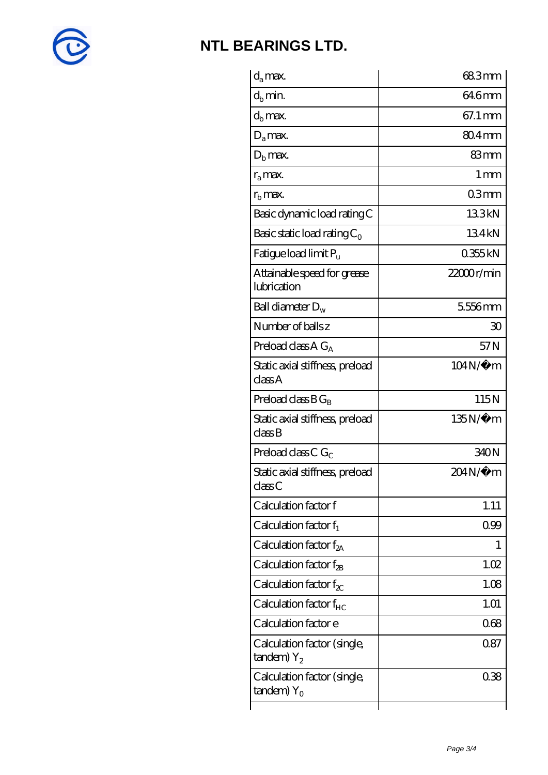

| $d_a$ max.                                               | 68.3mm          |
|----------------------------------------------------------|-----------------|
| $d_b$ min.                                               | 64.6mm          |
| $d_b$ max.                                               | 67.1 mm         |
| $D_a$ max.                                               | $804$ mm        |
| $Db$ max.                                                | 83mm            |
| $r_a$ max.                                               | 1 <sub>mm</sub> |
| $rb$ max.                                                | 03mm            |
| Basic dynamic load rating C                              | 133kN           |
| Basic static load rating $C_0$                           | 134kN           |
| Fatigue load limit $P_{\rm u}$                           | 0355kN          |
| Attainable speed for grease<br>lubrication               | 22000r/min      |
| Ball diameter $D_w$                                      | 5556mm          |
| Number of balls z                                        | 30              |
| Preload class $AG_A$                                     | 57N             |
| Static axial stiffness, preload<br>classA                | 104N/μ m        |
| Preload class $BG_R$                                     | 115N            |
| Static axial stiffness, preload<br>classB                | 135N/μ m        |
| Preload class C $G_C$                                    | 340N            |
| Static axial stiffness, preload<br>classC                | 204N/µ m        |
| Calculation factor f                                     | 1.11            |
| Calculation factor $f_1$                                 | 099             |
| Calculation factor $f_{2A}$                              | 1               |
| Calculation factor $f_{\rm 2B}$                          | 1.02            |
| Calculation factor $f_{\chi}$                            | 1.08            |
| Calculation factor $f_{HC}$                              | 1.01            |
| Calculation factor e                                     | 068             |
| Calculation factor (single,<br>$t$ andem) $Y_2$          | 0.87            |
| Calculation factor (single,<br>$t$ andem) Y <sub>o</sub> | 038             |
|                                                          |                 |